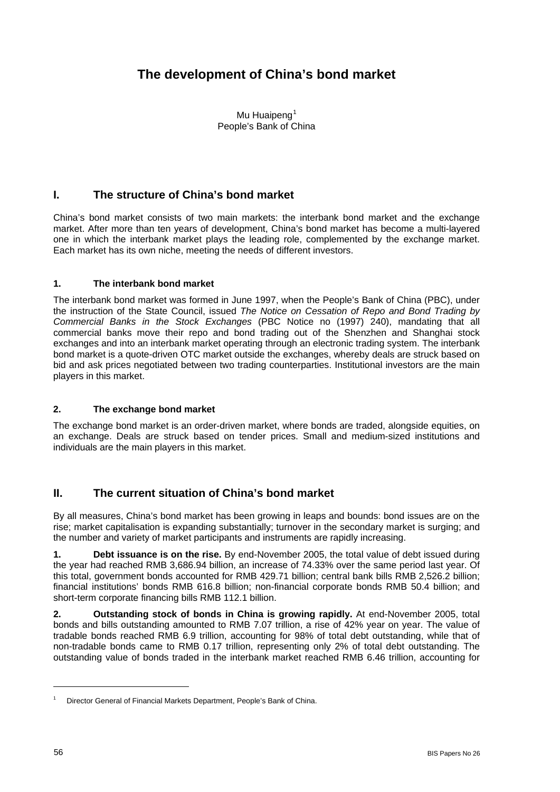# **The development of China's bond market**

Mu Huaipeng<sup>[1](#page-0-0)</sup> People's Bank of China

# **I. The structure of China's bond market**

China's bond market consists of two main markets: the interbank bond market and the exchange market. After more than ten years of development, China's bond market has become a multi-layered one in which the interbank market plays the leading role, complemented by the exchange market. Each market has its own niche, meeting the needs of different investors.

### **1. The interbank bond market**

The interbank bond market was formed in June 1997, when the People's Bank of China (PBC), under the instruction of the State Council, issued *The Notice on Cessation of Repo and Bond Trading by Commercial Banks in the Stock Exchanges* (PBC Notice no (1997) 240), mandating that all commercial banks move their repo and bond trading out of the Shenzhen and Shanghai stock exchanges and into an interbank market operating through an electronic trading system. The interbank bond market is a quote-driven OTC market outside the exchanges, whereby deals are struck based on bid and ask prices negotiated between two trading counterparties. Institutional investors are the main players in this market.

### **2. The exchange bond market**

The exchange bond market is an order-driven market, where bonds are traded, alongside equities, on an exchange. Deals are struck based on tender prices. Small and medium-sized institutions and individuals are the main players in this market.

# **II. The current situation of China's bond market**

By all measures, China's bond market has been growing in leaps and bounds: bond issues are on the rise; market capitalisation is expanding substantially; turnover in the secondary market is surging; and the number and variety of market participants and instruments are rapidly increasing.

**1. Debt issuance is on the rise.** By end-November 2005, the total value of debt issued during the year had reached RMB 3,686.94 billion, an increase of 74.33% over the same period last year. Of this total, government bonds accounted for RMB 429.71 billion; central bank bills RMB 2,526.2 billion; financial institutions' bonds RMB 616.8 billion; non-financial corporate bonds RMB 50.4 billion; and short-term corporate financing bills RMB 112.1 billion.

**2. Outstanding stock of bonds in China is growing rapidly.** At end-November 2005, total bonds and bills outstanding amounted to RMB 7.07 trillion, a rise of 42% year on year. The value of tradable bonds reached RMB 6.9 trillion, accounting for 98% of total debt outstanding, while that of non-tradable bonds came to RMB 0.17 trillion, representing only 2% of total debt outstanding. The outstanding value of bonds traded in the interbank market reached RMB 6.46 trillion, accounting for

l

<span id="page-0-0"></span><sup>1</sup> Director General of Financial Markets Department, People's Bank of China.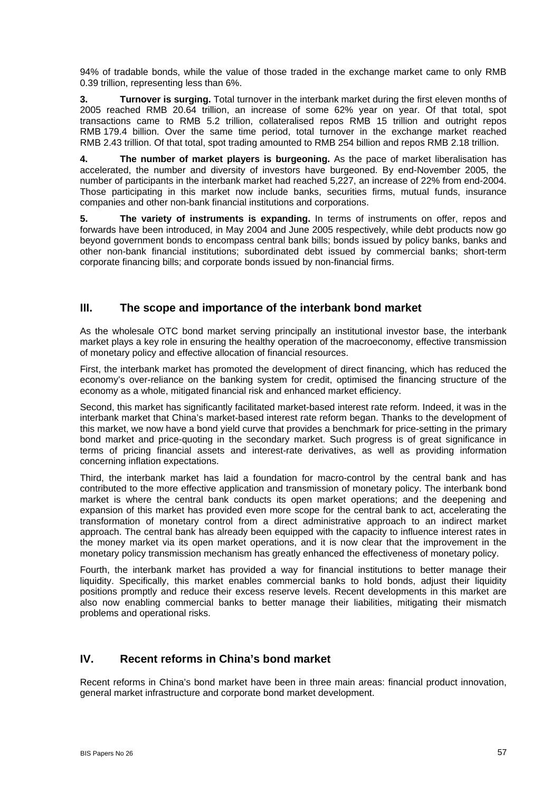94% of tradable bonds, while the value of those traded in the exchange market came to only RMB 0.39 trillion, representing less than 6%.

**3. Turnover is surging.** Total turnover in the interbank market during the first eleven months of 2005 reached RMB 20.64 trillion, an increase of some 62% year on year. Of that total, spot transactions came to RMB 5.2 trillion, collateralised repos RMB 15 trillion and outright repos RMB 179.4 billion. Over the same time period, total turnover in the exchange market reached RMB 2.43 trillion. Of that total, spot trading amounted to RMB 254 billion and repos RMB 2.18 trillion.

**4. The number of market players is burgeoning.** As the pace of market liberalisation has accelerated, the number and diversity of investors have burgeoned. By end-November 2005, the number of participants in the interbank market had reached 5,227, an increase of 22% from end-2004. Those participating in this market now include banks, securities firms, mutual funds, insurance companies and other non-bank financial institutions and corporations.

**5. The variety of instruments is expanding.** In terms of instruments on offer, repos and forwards have been introduced, in May 2004 and June 2005 respectively, while debt products now go beyond government bonds to encompass central bank bills; bonds issued by policy banks, banks and other non-bank financial institutions; subordinated debt issued by commercial banks; short-term corporate financing bills; and corporate bonds issued by non-financial firms.

### **III. The scope and importance of the interbank bond market**

As the wholesale OTC bond market serving principally an institutional investor base, the interbank market plays a key role in ensuring the healthy operation of the macroeconomy, effective transmission of monetary policy and effective allocation of financial resources.

First, the interbank market has promoted the development of direct financing, which has reduced the economy's over-reliance on the banking system for credit, optimised the financing structure of the economy as a whole, mitigated financial risk and enhanced market efficiency.

Second, this market has significantly facilitated market-based interest rate reform. Indeed, it was in the interbank market that China's market-based interest rate reform began. Thanks to the development of this market, we now have a bond yield curve that provides a benchmark for price-setting in the primary bond market and price-quoting in the secondary market. Such progress is of great significance in terms of pricing financial assets and interest-rate derivatives, as well as providing information concerning inflation expectations.

Third, the interbank market has laid a foundation for macro-control by the central bank and has contributed to the more effective application and transmission of monetary policy. The interbank bond market is where the central bank conducts its open market operations; and the deepening and expansion of this market has provided even more scope for the central bank to act, accelerating the transformation of monetary control from a direct administrative approach to an indirect market approach. The central bank has already been equipped with the capacity to influence interest rates in the money market via its open market operations, and it is now clear that the improvement in the monetary policy transmission mechanism has greatly enhanced the effectiveness of monetary policy.

Fourth, the interbank market has provided a way for financial institutions to better manage their liquidity. Specifically, this market enables commercial banks to hold bonds, adjust their liquidity positions promptly and reduce their excess reserve levels. Recent developments in this market are also now enabling commercial banks to better manage their liabilities, mitigating their mismatch problems and operational risks.

# **IV. Recent reforms in China's bond market**

Recent reforms in China's bond market have been in three main areas: financial product innovation, general market infrastructure and corporate bond market development.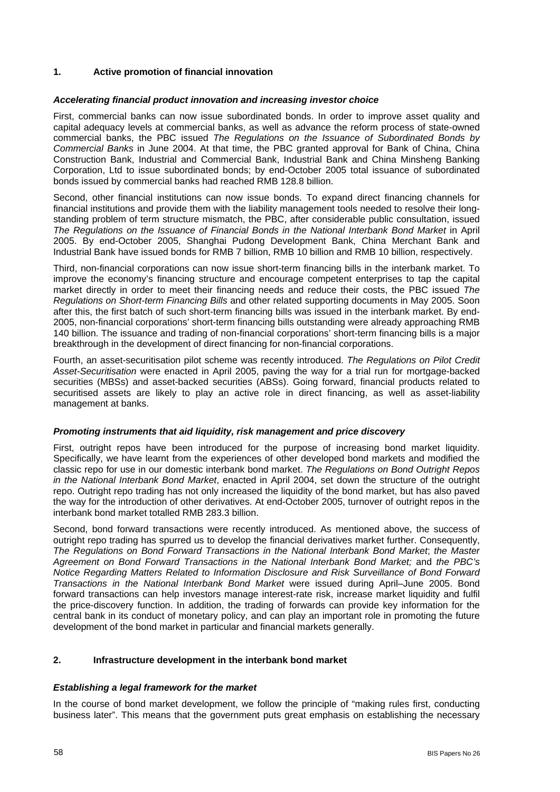### **1. Active promotion of financial innovation**

#### *Accelerating financial product innovation and increasing investor choice*

First, commercial banks can now issue subordinated bonds. In order to improve asset quality and capital adequacy levels at commercial banks, as well as advance the reform process of state-owned commercial banks, the PBC issued *The Regulations on the Issuance of Subordinated Bonds by Commercial Banks* in June 2004. At that time, the PBC granted approval for Bank of China, China Construction Bank, Industrial and Commercial Bank, Industrial Bank and China Minsheng Banking Corporation, Ltd to issue subordinated bonds; by end-October 2005 total issuance of subordinated bonds issued by commercial banks had reached RMB 128.8 billion.

Second, other financial institutions can now issue bonds. To expand direct financing channels for financial institutions and provide them with the liability management tools needed to resolve their longstanding problem of term structure mismatch, the PBC, after considerable public consultation, issued *The Regulations on the Issuance of Financial Bonds in the National Interbank Bond Market* in April 2005. By end-October 2005, Shanghai Pudong Development Bank, China Merchant Bank and Industrial Bank have issued bonds for RMB 7 billion, RMB 10 billion and RMB 10 billion, respectively.

Third, non-financial corporations can now issue short-term financing bills in the interbank market. To improve the economy's financing structure and encourage competent enterprises to tap the capital market directly in order to meet their financing needs and reduce their costs, the PBC issued *The Regulations on Short-term Financing Bills* and other related supporting documents in May 2005. Soon after this, the first batch of such short-term financing bills was issued in the interbank market. By end-2005, non-financial corporations' short-term financing bills outstanding were already approaching RMB 140 billion. The issuance and trading of non-financial corporations' short-term financing bills is a major breakthrough in the development of direct financing for non-financial corporations.

Fourth, an asset-securitisation pilot scheme was recently introduced. *The Regulations on Pilot Credit Asset-Securitisation* were enacted in April 2005, paving the way for a trial run for mortgage-backed securities (MBSs) and asset-backed securities (ABSs). Going forward, financial products related to securitised assets are likely to play an active role in direct financing, as well as asset-liability management at banks.

#### *Promoting instruments that aid liquidity, risk management and price discovery*

First, outright repos have been introduced for the purpose of increasing bond market liquidity. Specifically, we have learnt from the experiences of other developed bond markets and modified the classic repo for use in our domestic interbank bond market. *The Regulations on Bond Outright Repos in the National Interbank Bond Market*, enacted in April 2004, set down the structure of the outright repo. Outright repo trading has not only increased the liquidity of the bond market, but has also paved the way for the introduction of other derivatives. At end-October 2005, turnover of outright repos in the interbank bond market totalled RMB 283.3 billion.

Second, bond forward transactions were recently introduced. As mentioned above, the success of outright repo trading has spurred us to develop the financial derivatives market further. Consequently, *The Regulations on Bond Forward Transactions in the National Interbank Bond Market*; *the Master Agreement on Bond Forward Transactions in the National Interbank Bond Market;* and *the PBC's Notice Regarding Matters Related to Information Disclosure and Risk Surveillance of Bond Forward Transactions in the National Interbank Bond Market* were issued during April–June 2005. Bond forward transactions can help investors manage interest-rate risk, increase market liquidity and fulfil the price-discovery function. In addition, the trading of forwards can provide key information for the central bank in its conduct of monetary policy, and can play an important role in promoting the future development of the bond market in particular and financial markets generally.

#### **2. Infrastructure development in the interbank bond market**

#### *Establishing a legal framework for the market*

In the course of bond market development, we follow the principle of "making rules first, conducting business later". This means that the government puts great emphasis on establishing the necessary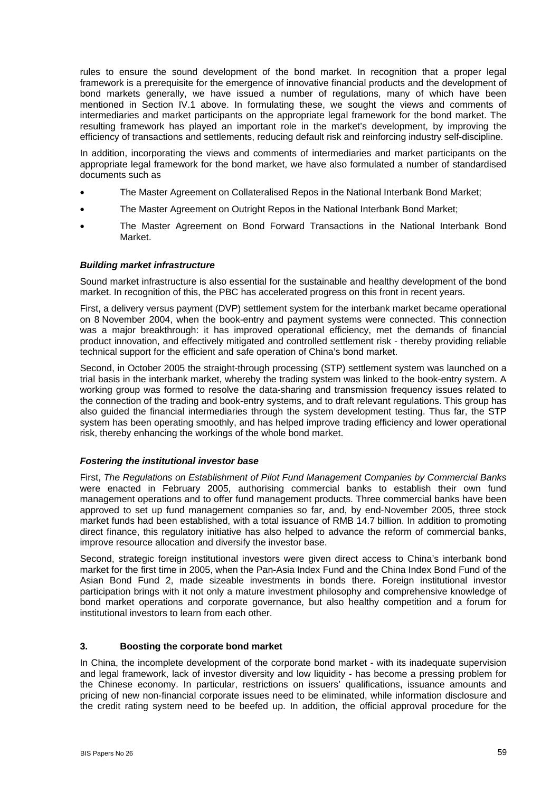rules to ensure the sound development of the bond market. In recognition that a proper legal framework is a prerequisite for the emergence of innovative financial products and the development of bond markets generally, we have issued a number of regulations, many of which have been mentioned in Section IV.1 above. In formulating these, we sought the views and comments of intermediaries and market participants on the appropriate legal framework for the bond market. The resulting framework has played an important role in the market's development, by improving the efficiency of transactions and settlements, reducing default risk and reinforcing industry self-discipline.

In addition, incorporating the views and comments of intermediaries and market participants on the appropriate legal framework for the bond market, we have also formulated a number of standardised documents such as

- The Master Agreement on Collateralised Repos in the National Interbank Bond Market;
- The Master Agreement on Outright Repos in the National Interbank Bond Market;
- The Master Agreement on Bond Forward Transactions in the National Interbank Bond Market.

#### *Building market infrastructure*

Sound market infrastructure is also essential for the sustainable and healthy development of the bond market. In recognition of this, the PBC has accelerated progress on this front in recent years.

First, a delivery versus payment (DVP) settlement system for the interbank market became operational on 8 November 2004, when the book-entry and payment systems were connected. This connection was a major breakthrough: it has improved operational efficiency, met the demands of financial product innovation, and effectively mitigated and controlled settlement risk - thereby providing reliable technical support for the efficient and safe operation of China's bond market.

Second, in October 2005 the straight-through processing (STP) settlement system was launched on a trial basis in the interbank market, whereby the trading system was linked to the book-entry system. A working group was formed to resolve the data-sharing and transmission frequency issues related to the connection of the trading and book-entry systems, and to draft relevant regulations. This group has also guided the financial intermediaries through the system development testing. Thus far, the STP system has been operating smoothly, and has helped improve trading efficiency and lower operational risk, thereby enhancing the workings of the whole bond market.

#### *Fostering the institutional investor base*

First, *The Regulations on Establishment of Pilot Fund Management Companies by Commercial Banks* were enacted in February 2005, authorising commercial banks to establish their own fund management operations and to offer fund management products. Three commercial banks have been approved to set up fund management companies so far, and, by end-November 2005, three stock market funds had been established, with a total issuance of RMB 14.7 billion. In addition to promoting direct finance, this regulatory initiative has also helped to advance the reform of commercial banks, improve resource allocation and diversify the investor base.

Second, strategic foreign institutional investors were given direct access to China's interbank bond market for the first time in 2005, when the Pan-Asia Index Fund and the China Index Bond Fund of the Asian Bond Fund 2, made sizeable investments in bonds there. Foreign institutional investor participation brings with it not only a mature investment philosophy and comprehensive knowledge of bond market operations and corporate governance, but also healthy competition and a forum for institutional investors to learn from each other.

#### **3. Boosting the corporate bond market**

In China, the incomplete development of the corporate bond market - with its inadequate supervision and legal framework, lack of investor diversity and low liquidity - has become a pressing problem for the Chinese economy. In particular, restrictions on issuers' qualifications, issuance amounts and pricing of new non-financial corporate issues need to be eliminated, while information disclosure and the credit rating system need to be beefed up. In addition, the official approval procedure for the